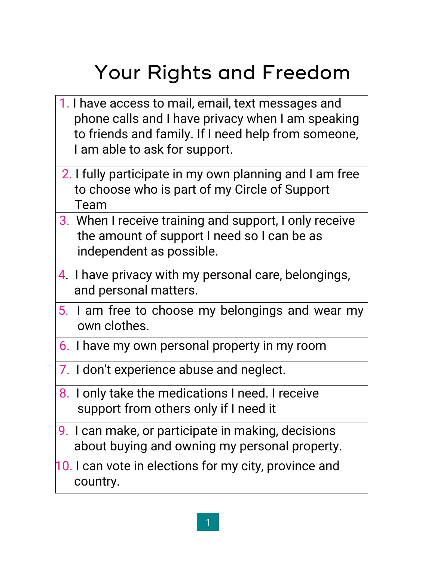## Your Rights and Freedom

- 1. I have access to mail, email, text messages and phone calls and I have privacy when I am speaking to friends and family. If I need help from someone, I am able to ask for support.
- 2. I fully participate in my own planning and I am free to choose who is part of my Circle of Support Team
- 3. When I receive training and support, I only receive the amount of support I need so I can be as independent as possible.
- 4. I have privacy with my personal care, belongings, and personal matters.
- 5. I am free to choose my belongings and wear my own clothes.
- 6. I have my own personal property in my room
- 7. I don't experience abuse and neglect.
- 8. I only take the medications I need. I receive support from others only if I need it
- 9. I can make, or participate in making, decisions about buying and owning my personal property.
- 10. I can vote in elections for my city, province and country.